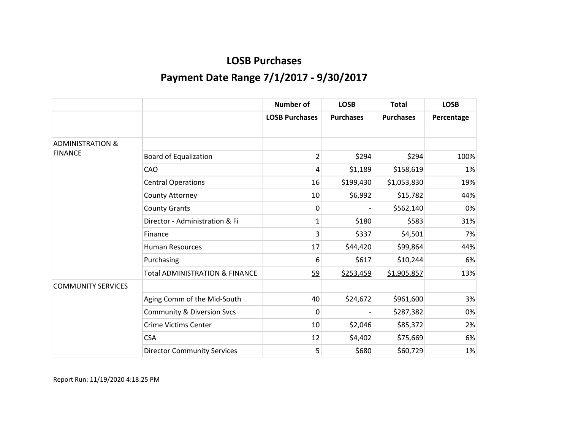|                             |                                           | <b>Number of</b>      | <b>LOSB</b>      | <b>Total</b>     | <b>LOSB</b>       |
|-----------------------------|-------------------------------------------|-----------------------|------------------|------------------|-------------------|
|                             |                                           | <b>LOSB Purchases</b> | <b>Purchases</b> | <b>Purchases</b> | <b>Percentage</b> |
|                             |                                           |                       |                  |                  |                   |
| <b>ADMINISTRATION &amp;</b> |                                           |                       |                  |                  |                   |
| <b>FINANCE</b>              | <b>Board of Equalization</b>              | $\overline{2}$        | \$294            | \$294            | 100%              |
|                             | CAO                                       | 4                     | \$1,189          | \$158,619        | 1%                |
|                             | <b>Central Operations</b>                 | 16                    | \$199,430        | \$1,053,830      | 19%               |
|                             | County Attorney                           | 10                    | \$6,992          | \$15,782         | 44%               |
|                             | <b>County Grants</b>                      | 0                     |                  | \$562,140        | 0%                |
|                             | Director - Administration & Fi            | 1                     | \$180            | \$583            | 31%               |
|                             | Finance                                   | 3                     | \$337            | \$4,501          | 7%                |
|                             | <b>Human Resources</b>                    | 17                    | \$44,420         | \$99,864         | 44%               |
|                             | Purchasing                                | 6                     | \$617            | \$10,244         | 6%                |
|                             | <b>Total ADMINISTRATION &amp; FINANCE</b> | 59                    | \$253,459        | \$1,905,857      | 13%               |
| <b>COMMUNITY SERVICES</b>   |                                           |                       |                  |                  |                   |
|                             | Aging Comm of the Mid-South               | 40                    | \$24,672         | \$961,600        | 3%                |
|                             | <b>Community &amp; Diversion Svcs</b>     | 0                     |                  | \$287,382        | 0%                |
|                             | <b>Crime Victims Center</b>               | 10                    | \$2,046          | \$85,372         | 2%                |
|                             | <b>CSA</b>                                | 12                    | \$4,402          | \$75,669         | 6%                |
|                             | <b>Director Community Services</b>        | 5                     | \$680            | \$60,729         | 1%                |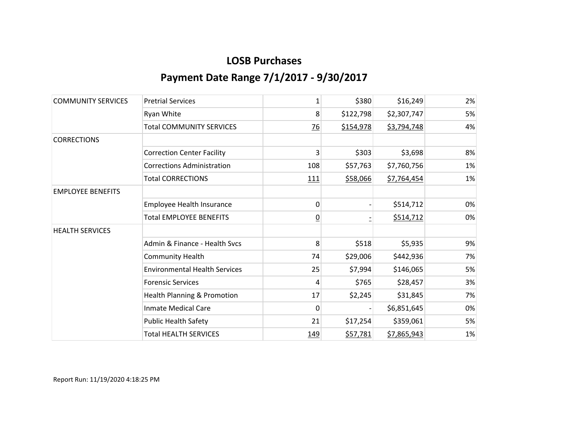| <b>COMMUNITY SERVICES</b> | <b>Pretrial Services</b>               | 1               | \$380     | \$16,249    | 2% |
|---------------------------|----------------------------------------|-----------------|-----------|-------------|----|
|                           | Ryan White                             | 8               | \$122,798 | \$2,307,747 | 5% |
|                           | <b>Total COMMUNITY SERVICES</b>        | $\overline{26}$ | \$154,978 | \$3,794,748 | 4% |
| <b>CORRECTIONS</b>        |                                        |                 |           |             |    |
|                           | <b>Correction Center Facility</b>      | 3               | \$303     | \$3,698     | 8% |
|                           | <b>Corrections Administration</b>      | 108             | \$57,763  | \$7,760,756 | 1% |
|                           | <b>Total CORRECTIONS</b>               | <u>111</u>      | \$58,066  | \$7,764,454 | 1% |
| <b>EMPLOYEE BENEFITS</b>  |                                        |                 |           |             |    |
|                           | <b>Employee Health Insurance</b>       | 0               |           | \$514,712   | 0% |
|                           | <b>Total EMPLOYEE BENEFITS</b>         | $\overline{0}$  |           | \$514,712   | 0% |
| <b>HEALTH SERVICES</b>    |                                        |                 |           |             |    |
|                           | Admin & Finance - Health Svcs          | 8               | \$518     | \$5,935     | 9% |
|                           | <b>Community Health</b>                | 74              | \$29,006  | \$442,936   | 7% |
|                           | <b>Environmental Health Services</b>   | 25              | \$7,994   | \$146,065   | 5% |
|                           | <b>Forensic Services</b>               | 4               | \$765     | \$28,457    | 3% |
|                           | <b>Health Planning &amp; Promotion</b> | 17              | \$2,245   | \$31,845    | 7% |
|                           | <b>Inmate Medical Care</b>             | 0               |           | \$6,851,645 | 0% |
|                           | <b>Public Health Safety</b>            | 21              | \$17,254  | \$359,061   | 5% |
|                           | <b>Total HEALTH SERVICES</b>           | 149             | \$57,781  | \$7,865,943 | 1% |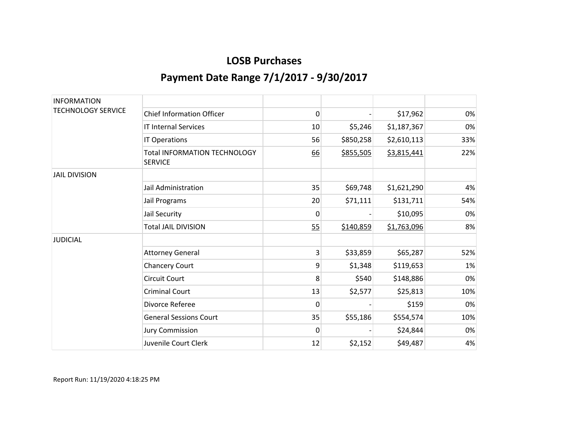| <b>INFORMATION</b>        |                                                       |              |           |             |     |
|---------------------------|-------------------------------------------------------|--------------|-----------|-------------|-----|
| <b>TECHNOLOGY SERVICE</b> | <b>Chief Information Officer</b>                      | 0            |           | \$17,962    | 0%  |
|                           | <b>IT Internal Services</b>                           | 10           | \$5,246   | \$1,187,367 | 0%  |
|                           | IT Operations                                         | 56           | \$850,258 | \$2,610,113 | 33% |
|                           | <b>Total INFORMATION TECHNOLOGY</b><br><b>SERVICE</b> | 66           | \$855,505 | \$3,815,441 | 22% |
| <b>JAIL DIVISION</b>      |                                                       |              |           |             |     |
|                           | Jail Administration                                   | 35           | \$69,748  | \$1,621,290 | 4%  |
|                           | Jail Programs                                         | 20           | \$71,111  | \$131,711   | 54% |
|                           | Jail Security                                         | $\mathbf{0}$ |           | \$10,095    | 0%  |
|                           | <b>Total JAIL DIVISION</b>                            | 55           | \$140,859 | \$1,763,096 | 8%  |
| <b>JUDICIAL</b>           |                                                       |              |           |             |     |
|                           | <b>Attorney General</b>                               | 3            | \$33,859  | \$65,287    | 52% |
|                           | Chancery Court                                        | 9            | \$1,348   | \$119,653   | 1%  |
|                           | <b>Circuit Court</b>                                  | 8            | \$540     | \$148,886   | 0%  |
|                           | <b>Criminal Court</b>                                 | 13           | \$2,577   | \$25,813    | 10% |
|                           | Divorce Referee                                       | 0            |           | \$159       | 0%  |
|                           | <b>General Sessions Court</b>                         | 35           | \$55,186  | \$554,574   | 10% |
|                           | <b>Jury Commission</b>                                | $\mathbf{0}$ |           | \$24,844    | 0%  |
|                           | Juvenile Court Clerk                                  | 12           | \$2,152   | \$49,487    | 4%  |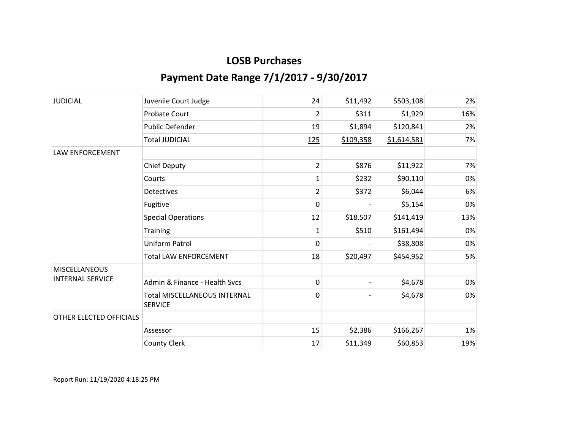| <b>JUDICIAL</b>         | Juvenile Court Judge                                  | 24              | \$11,492  | \$503,108   | 2%  |
|-------------------------|-------------------------------------------------------|-----------------|-----------|-------------|-----|
|                         | <b>Probate Court</b>                                  | 2               | \$311     | \$1,929     | 16% |
|                         | Public Defender                                       | 19              | \$1,894   | \$120,841   | 2%  |
|                         | <b>Total JUDICIAL</b>                                 | 125             | \$109,358 | \$1,614,581 | 7%  |
| <b>LAW ENFORCEMENT</b>  |                                                       |                 |           |             |     |
|                         | <b>Chief Deputy</b>                                   | $\overline{2}$  | \$876     | \$11,922    | 7%  |
|                         | Courts                                                | $\mathbf 1$     | \$232     | \$90,110    | 0%  |
|                         | <b>Detectives</b>                                     | 2               | \$372     | \$6,044     | 6%  |
|                         | Fugitive                                              | 0               |           | \$5,154     | 0%  |
|                         | <b>Special Operations</b>                             | 12              | \$18,507  | \$141,419   | 13% |
|                         | <b>Training</b>                                       | 1               | \$510     | \$161,494   | 0%  |
|                         | Uniform Patrol                                        | 0               |           | \$38,808    | 0%  |
|                         | <b>Total LAW ENFORCEMENT</b>                          | 18              | \$20,497  | \$454,952   | 5%  |
| <b>MISCELLANEOUS</b>    |                                                       |                 |           |             |     |
| <b>INTERNAL SERVICE</b> | Admin & Finance - Health Svcs                         | 0               |           | \$4,678     | 0%  |
|                         | <b>Total MISCELLANEOUS INTERNAL</b><br><b>SERVICE</b> | $\underline{0}$ |           | \$4,678     | 0%  |
| OTHER ELECTED OFFICIALS |                                                       |                 |           |             |     |
|                         | Assessor                                              | 15              | \$2,386   | \$166,267   | 1%  |
|                         | <b>County Clerk</b>                                   | 17              | \$11,349  | \$60,853    | 19% |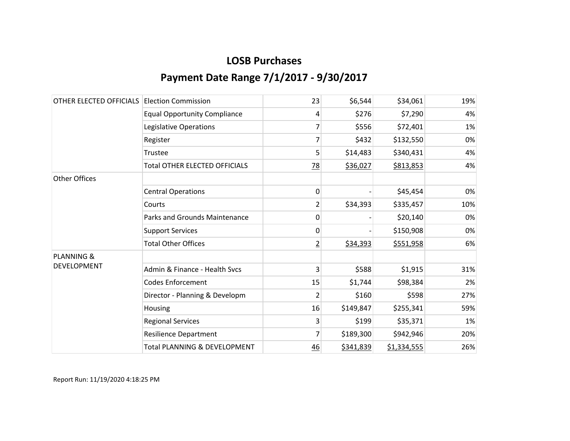| OTHER ELECTED OFFICIALS | <b>Election Commission</b>              | 23             | \$6,544   | \$34,061    | 19% |
|-------------------------|-----------------------------------------|----------------|-----------|-------------|-----|
|                         | <b>Equal Opportunity Compliance</b>     | 4              | \$276     | \$7,290     | 4%  |
|                         | Legislative Operations                  | 7              | \$556     | \$72,401    | 1%  |
|                         | Register                                | 7              | \$432     | \$132,550   | 0%  |
|                         | Trustee                                 | 5              | \$14,483  | \$340,431   | 4%  |
|                         | <b>Total OTHER ELECTED OFFICIALS</b>    | 78             | \$36,027  | \$813,853   | 4%  |
| <b>Other Offices</b>    |                                         |                |           |             |     |
|                         | <b>Central Operations</b>               | 0              |           | \$45,454    | 0%  |
|                         | Courts                                  | $\overline{2}$ | \$34,393  | \$335,457   | 10% |
|                         | <b>Parks and Grounds Maintenance</b>    | 0              |           | \$20,140    | 0%  |
|                         | <b>Support Services</b>                 | 0              |           | \$150,908   | 0%  |
|                         | <b>Total Other Offices</b>              | $\overline{2}$ | \$34,393  | \$551,958   | 6%  |
| <b>PLANNING &amp;</b>   |                                         |                |           |             |     |
| <b>DEVELOPMENT</b>      | Admin & Finance - Health Svcs           | 3              | \$588     | \$1,915     | 31% |
|                         | <b>Codes Enforcement</b>                | 15             | \$1,744   | \$98,384    | 2%  |
|                         | Director - Planning & Developm          | 2              | \$160     | \$598       | 27% |
|                         | Housing                                 | 16             | \$149,847 | \$255,341   | 59% |
|                         | <b>Regional Services</b>                | 3              | \$199     | \$35,371    | 1%  |
|                         | <b>Resilience Department</b>            | 7              | \$189,300 | \$942,946   | 20% |
|                         | <b>Total PLANNING &amp; DEVELOPMENT</b> | 46             | \$341,839 | \$1,334,555 | 26% |